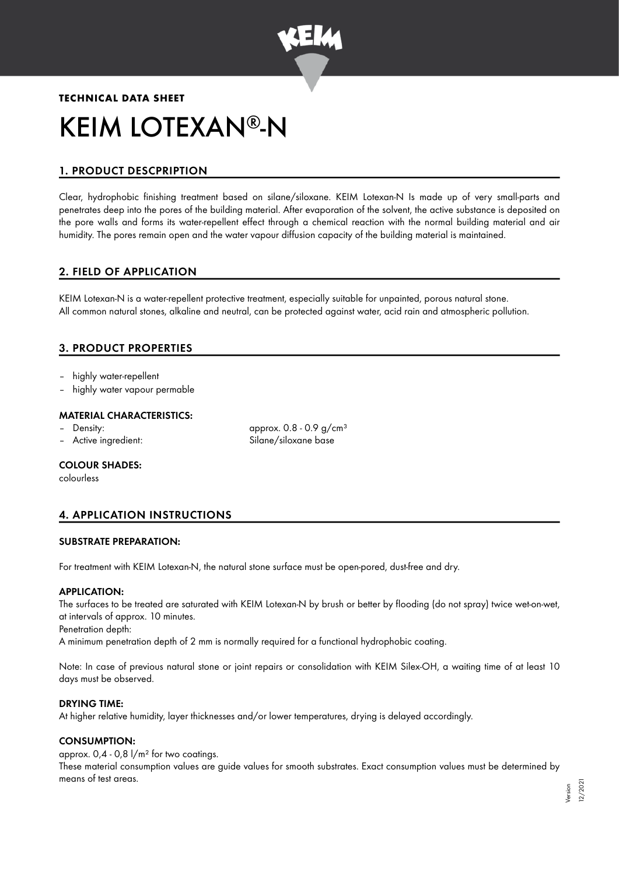

# **TECHNICAL DATA SHEET** KEIM LOTEXAN®-N

# 1. PRODUCT DESCPRIPTION

Clear, hydrophobic finishing treatment based on silane/siloxane. KEIM Lotexan-N Is made up of very small-parts and penetrates deep into the pores of the building material. After evaporation of the solvent, the active substance is deposited on the pore walls and forms its water-repellent effect through a chemical reaction with the normal building material and air humidity. The pores remain open and the water vapour diffusion capacity of the building material is maintained.

# 2. FIELD OF APPLICATION

KEIM Lotexan-N is a water-repellent protective treatment, especially suitable for unpainted, porous natural stone. All common natural stones, alkaline and neutral, can be protected against water, acid rain and atmospheric pollution.

# 3. PRODUCT PROPERTIES

- highly water-repellent
- highly water vapour permable

## MATERIAL CHARACTERISTICS:

- Density:  $\qquad \qquad \text{Density:} \qquad \qquad \text{approx. } 0.8 0.9 \text{ g/cm}^3$
- Active ingredient: Silane/siloxane base

COLOUR SHADES:

colourless

# 4. APPLICATION INSTRUCTIONS

#### SUBSTRATE PREPARATION:

For treatment with KEIM Lotexan-N, the natural stone surface must be open-pored, dust-free and dry.

# APPLICATION:

The surfaces to be treated are saturated with KEIM Lotexan-N by brush or better by flooding (do not spray) twice wet-on-wet, at intervals of approx. 10 minutes.

Penetration depth:

A minimum penetration depth of 2 mm is normally required for a functional hydrophobic coating.

Note: In case of previous natural stone or joint repairs or consolidation with KEIM Silex-OH, a waiting time of at least 10 days must be observed.

## DRYING TIME:

At higher relative humidity, layer thicknesses and/or lower temperatures, drying is delayed accordingly.

# CONSUMPTION:

approx.  $0.4 - 0.8$   $1/m<sup>2</sup>$  for two coatings.

These material consumption values are guide values for smooth substrates. Exact consumption values must be determined by means of test areas.